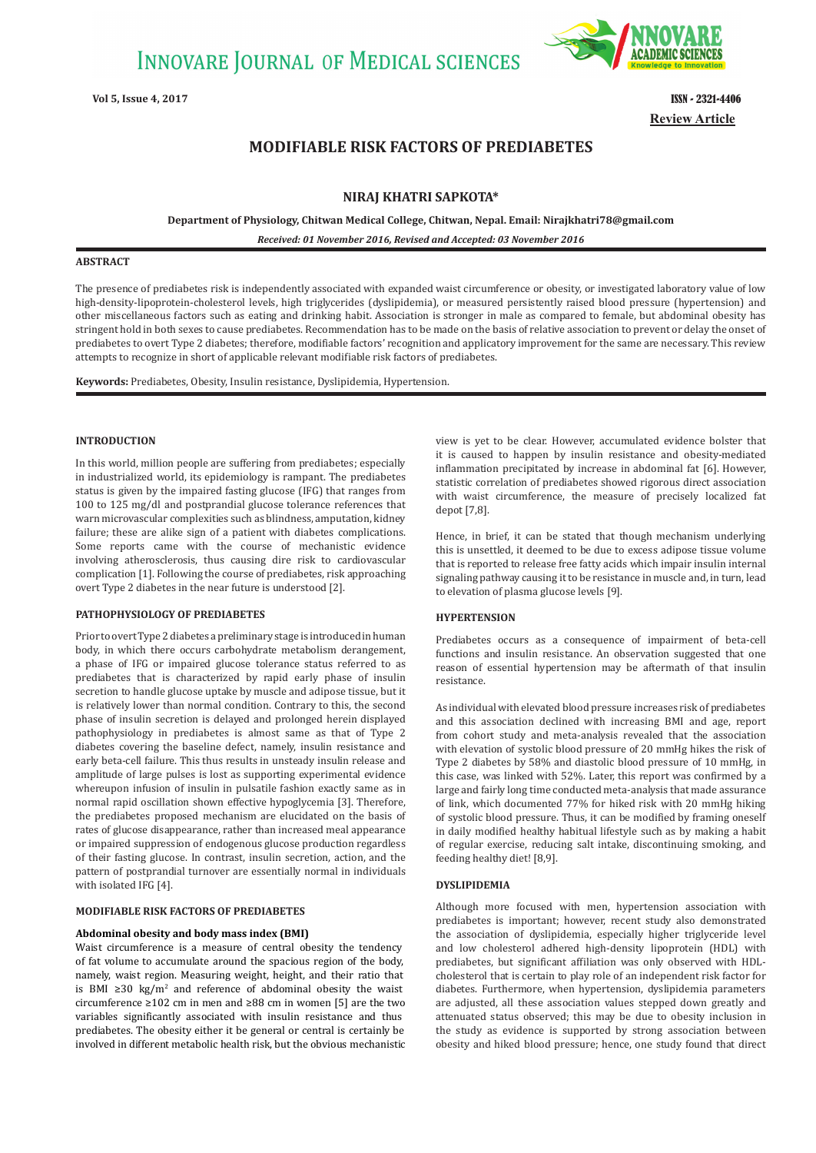

**Review Article Vol 5, Issue 4, 2017** ISSN - 2321-4406

# **MODIFIABLE RISK FACTORS OF PREDIABETES**

# **NIRAJ KHATRI SAPKOTA\***

**Department of Physiology, Chitwan Medical College, Chitwan, Nepal. Email: Nirajkhatri78@gmail.com**

*Received: 01 November 2016, Revised and Accepted: 03 November 2016*

# **ABSTRACT**

The presence of prediabetes risk is independently associated with expanded waist circumference or obesity, or investigated laboratory value of low high-density-lipoprotein-cholesterol levels, high triglycerides (dyslipidemia), or measured persistently raised blood pressure (hypertension) and other miscellaneous factors such as eating and drinking habit. Association is stronger in male as compared to female, but abdominal obesity has stringent hold in both sexes to cause prediabetes. Recommendation has to be made on the basis of relative association to prevent or delay the onset of prediabetes to overt Type 2 diabetes; therefore, modifiable factors' recognition and applicatory improvement for the same are necessary. This review attempts to recognize in short of applicable relevant modifiable risk factors of prediabetes.

**Keywords:** Prediabetes, Obesity, Insulin resistance, Dyslipidemia, Hypertension.

#### **INTRODUCTION**

In this world, million people are suffering from prediabetes; especially in industrialized world, its epidemiology is rampant. The prediabetes status is given by the impaired fasting glucose (IFG) that ranges from 100 to 125 mg/dl and postprandial glucose tolerance references that warn microvascular complexities such as blindness, amputation, kidney failure; these are alike sign of a patient with diabetes complications. Some reports came with the course of mechanistic evidence involving atherosclerosis, thus causing dire risk to cardiovascular complication [1]. Following the course of prediabetes, risk approaching overt Type 2 diabetes in the near future is understood [2].

### **PATHOPHYSIOLOGY OF PREDIABETES**

Prior to overt Type 2 diabetes a preliminary stage is introduced in human body, in which there occurs carbohydrate metabolism derangement, a phase of IFG or impaired glucose tolerance status referred to as prediabetes that is characterized by rapid early phase of insulin secretion to handle glucose uptake by muscle and adipose tissue, but it is relatively lower than normal condition. Contrary to this, the second phase of insulin secretion is delayed and prolonged herein displayed pathophysiology in prediabetes is almost same as that of Type 2 diabetes covering the baseline defect, namely, insulin resistance and early beta-cell failure. This thus results in unsteady insulin release and amplitude of large pulses is lost as supporting experimental evidence whereupon infusion of insulin in pulsatile fashion exactly same as in normal rapid oscillation shown effective hypoglycemia [3]. Therefore, the prediabetes proposed mechanism are elucidated on the basis of rates of glucose disappearance, rather than increased meal appearance or impaired suppression of endogenous glucose production regardless of their fasting glucose. In contrast, insulin secretion, action, and the pattern of postprandial turnover are essentially normal in individuals with isolated IFG [4].

# **MODIFIABLE RISK FACTORS OF PREDIABETES**

## **Abdominal obesity and body mass index (BMI)**

Waist circumference is a measure of central obesity the tendency of fat volume to accumulate around the spacious region of the body, namely, waist region. Measuring weight, height, and their ratio that is BMI ≥30 kg/m<sup>2</sup> and reference of abdominal obesity the waist circumference ≥102 cm in men and ≥88 cm in women [5] are the two variables significantly associated with insulin resistance and thus prediabetes. The obesity either it be general or central is certainly be involved in different metabolic health risk, but the obvious mechanistic view is yet to be clear. However, accumulated evidence bolster that it is caused to happen by insulin resistance and obesity-mediated inflammation precipitated by increase in abdominal fat [6]. However, statistic correlation of prediabetes showed rigorous direct association with waist circumference, the measure of precisely localized fat depot [7,8].

Hence, in brief, it can be stated that though mechanism underlying this is unsettled, it deemed to be due to excess adipose tissue volume that is reported to release free fatty acids which impair insulin internal signaling pathway causing it to be resistance in muscle and, in turn, lead to elevation of plasma glucose levels [9].

#### **HYPERTENSION**

Prediabetes occurs as a consequence of impairment of beta-cell functions and insulin resistance. An observation suggested that one reason of essential hypertension may be aftermath of that insulin resistance.

As individual with elevated blood pressure increases risk of prediabetes and this association declined with increasing BMI and age, report from cohort study and meta-analysis revealed that the association with elevation of systolic blood pressure of 20 mmHg hikes the risk of Type 2 diabetes by 58% and diastolic blood pressure of 10 mmHg, in this case, was linked with 52%. Later, this report was confirmed by a large and fairly long time conducted meta-analysis that made assurance of link, which documented 77% for hiked risk with 20 mmHg hiking of systolic blood pressure. Thus, it can be modified by framing oneself in daily modified healthy habitual lifestyle such as by making a habit of regular exercise, reducing salt intake, discontinuing smoking, and feeding healthy diet! [8,9].

#### **DYSLIPIDEMIA**

Although more focused with men, hypertension association with prediabetes is important; however, recent study also demonstrated the association of dyslipidemia, especially higher triglyceride level and low cholesterol adhered high-density lipoprotein (HDL) with prediabetes, but significant affiliation was only observed with HDLcholesterol that is certain to play role of an independent risk factor for diabetes. Furthermore, when hypertension, dyslipidemia parameters are adjusted, all these association values stepped down greatly and attenuated status observed; this may be due to obesity inclusion in the study as evidence is supported by strong association between obesity and hiked blood pressure; hence, one study found that direct